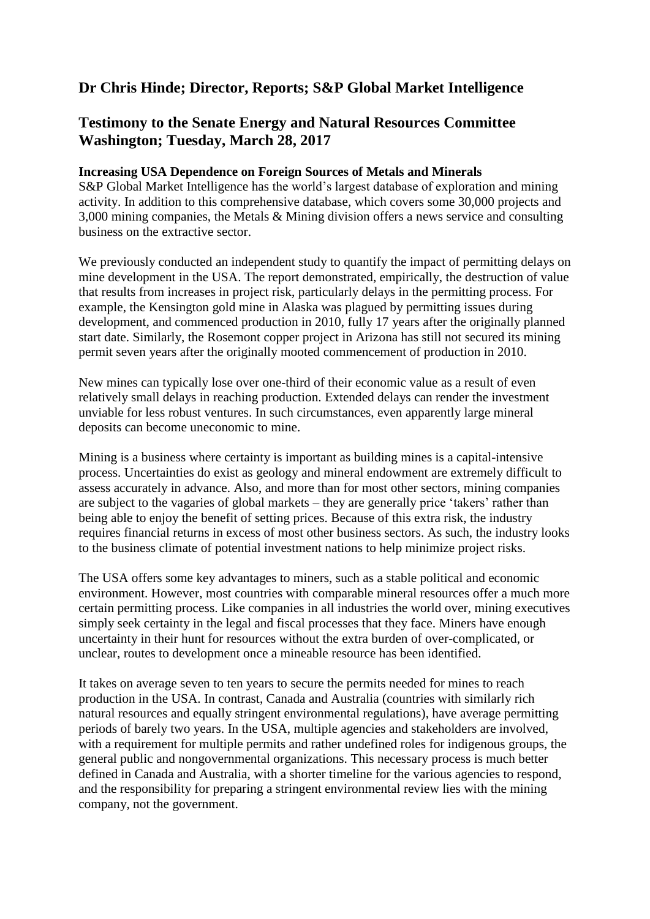## **Dr Chris Hinde; Director, Reports; S&P Global Market Intelligence**

## **Testimony to the Senate Energy and Natural Resources Committee Washington; Tuesday, March 28, 2017**

## **Increasing USA Dependence on Foreign Sources of Metals and Minerals**

S&P Global Market Intelligence has the world's largest database of exploration and mining activity. In addition to this comprehensive database, which covers some 30,000 projects and 3,000 mining companies, the Metals & Mining division offers a news service and consulting business on the extractive sector.

We previously conducted an independent study to quantify the impact of permitting delays on mine development in the USA. The report demonstrated, empirically, the destruction of value that results from increases in project risk, particularly delays in the permitting process. For example, the Kensington gold mine in Alaska was plagued by permitting issues during development, and commenced production in 2010, fully 17 years after the originally planned start date. Similarly, the Rosemont copper project in Arizona has still not secured its mining permit seven years after the originally mooted commencement of production in 2010.

New mines can typically lose over one-third of their economic value as a result of even relatively small delays in reaching production. Extended delays can render the investment unviable for less robust ventures. In such circumstances, even apparently large mineral deposits can become uneconomic to mine.

Mining is a business where certainty is important as building mines is a capital-intensive process. Uncertainties do exist as geology and mineral endowment are extremely difficult to assess accurately in advance. Also, and more than for most other sectors, mining companies are subject to the vagaries of global markets – they are generally price 'takers' rather than being able to enjoy the benefit of setting prices. Because of this extra risk, the industry requires financial returns in excess of most other business sectors. As such, the industry looks to the business climate of potential investment nations to help minimize project risks.

The USA offers some key advantages to miners, such as a stable political and economic environment. However, most countries with comparable mineral resources offer a much more certain permitting process. Like companies in all industries the world over, mining executives simply seek certainty in the legal and fiscal processes that they face. Miners have enough uncertainty in their hunt for resources without the extra burden of over-complicated, or unclear, routes to development once a mineable resource has been identified.

It takes on average seven to ten years to secure the permits needed for mines to reach production in the USA. In contrast, Canada and Australia (countries with similarly rich natural resources and equally stringent environmental regulations), have average permitting periods of barely two years. In the USA, multiple agencies and stakeholders are involved, with a requirement for multiple permits and rather undefined roles for indigenous groups, the general public and nongovernmental organizations. This necessary process is much better defined in Canada and Australia, with a shorter timeline for the various agencies to respond, and the responsibility for preparing a stringent environmental review lies with the mining company, not the government.